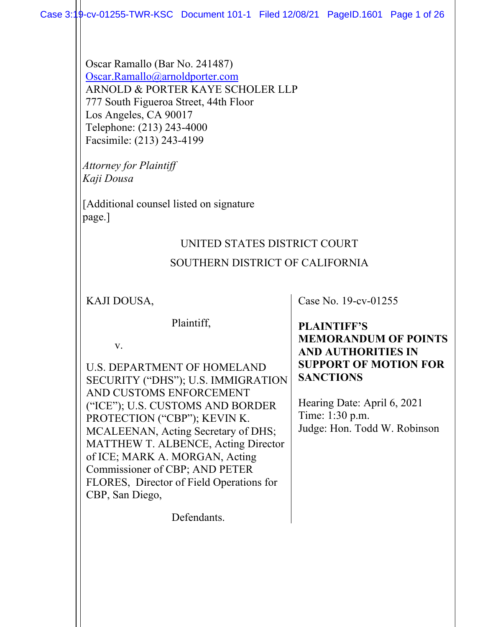Oscar Ramallo (Bar No. 241487) [Oscar.Ramallo@arnoldporter.com](mailto:Oscar.Ramallo@arnoldporter.com) ARNOLD & PORTER KAYE SCHOLER LLP 777 South Figueroa Street, 44th Floor Los Angeles, CA 90017 Telephone: (213) 243-4000 Facsimile: (213) 243-4199

*Attorney for Plaintiff Kaji Dousa* 

[Additional counsel listed on signature page.]

# UNITED STATES DISTRICT COURT SOUTHERN DISTRICT OF CALIFORNIA

KAJI DOUSA,

Plaintiff,

v.

U.S. DEPARTMENT OF HOMELAND SECURITY ("DHS"); U.S. IMMIGRATION AND CUSTOMS ENFORCEMENT ("ICE"); U.S. CUSTOMS AND BORDER PROTECTION ("CBP"); KEVIN K. MCALEENAN, Acting Secretary of DHS; MATTHEW T. ALBENCE, Acting Director of ICE; MARK A. MORGAN, Acting Commissioner of CBP; AND PETER FLORES, Director of Field Operations for CBP, San Diego,

Case No. 19-cv-01255

#### **PLAINTIFF'S MEMORANDUM OF POINTS AND AUTHORITIES IN SUPPORT OF MOTION FOR SANCTIONS**

Hearing Date: April 6, 2021 Time: 1:30 p.m. Judge: Hon. Todd W. Robinson

Defendants.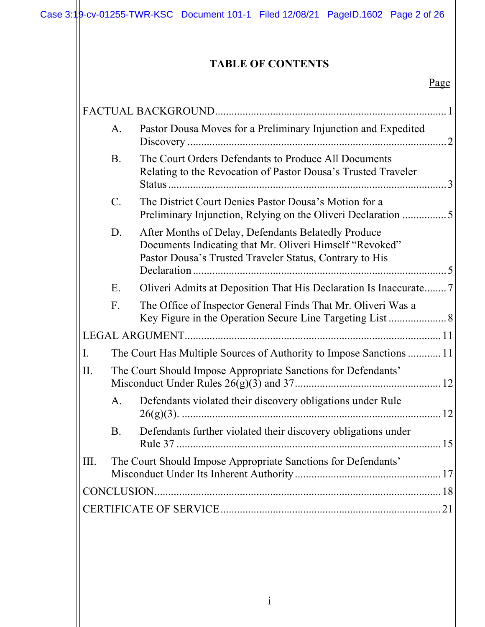# **TABLE OF CONTENTS**

| FACTUAL BACKGROUND |                                                               |                                                                                                                                                                           |  |  |
|--------------------|---------------------------------------------------------------|---------------------------------------------------------------------------------------------------------------------------------------------------------------------------|--|--|
|                    | A.                                                            | Pastor Dousa Moves for a Preliminary Injunction and Expedited<br>2                                                                                                        |  |  |
|                    | <b>B.</b>                                                     | The Court Orders Defendants to Produce All Documents<br>Relating to the Revocation of Pastor Dousa's Trusted Traveler<br>$\mathcal{E}$                                    |  |  |
|                    | $\mathbf{C}$ .                                                | The District Court Denies Pastor Dousa's Motion for a<br>Preliminary Injunction, Relying on the Oliveri Declaration 5                                                     |  |  |
|                    | D.                                                            | After Months of Delay, Defendants Belatedly Produce<br>Documents Indicating that Mr. Oliveri Himself "Revoked"<br>Pastor Dousa's Trusted Traveler Status, Contrary to His |  |  |
|                    | Ε.                                                            | Oliveri Admits at Deposition That His Declaration Is Inaccurate7                                                                                                          |  |  |
|                    | F.                                                            | The Office of Inspector General Finds That Mr. Oliveri Was a                                                                                                              |  |  |
|                    |                                                               |                                                                                                                                                                           |  |  |
| I.                 |                                                               | The Court Has Multiple Sources of Authority to Impose Sanctions  11                                                                                                       |  |  |
| II.                | The Court Should Impose Appropriate Sanctions for Defendants' |                                                                                                                                                                           |  |  |
|                    | А.                                                            | Defendants violated their discovery obligations under Rule                                                                                                                |  |  |
|                    | <b>B.</b>                                                     | Defendants further violated their discovery obligations under                                                                                                             |  |  |
| III.               |                                                               | The Court Should Impose Appropriate Sanctions for Defendants'                                                                                                             |  |  |
| CONCLUSION         |                                                               |                                                                                                                                                                           |  |  |
|                    |                                                               |                                                                                                                                                                           |  |  |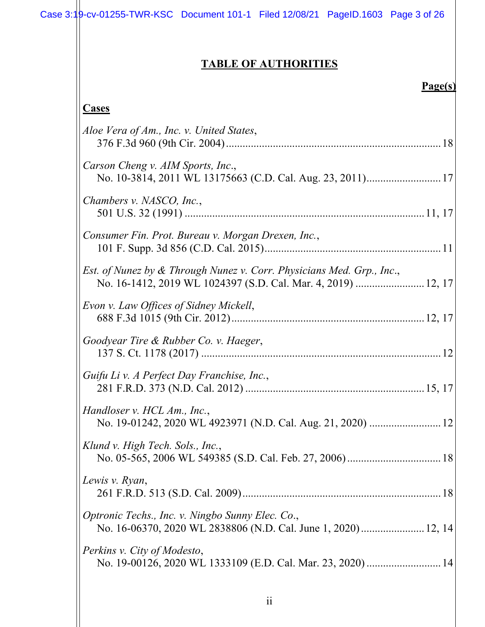# **TABLE OF AUTHORITIES**

#### **Page(s)**

| <b>Cases</b>                                                                                                                           |  |
|----------------------------------------------------------------------------------------------------------------------------------------|--|
| Aloe Vera of Am., Inc. v. United States,                                                                                               |  |
| Carson Cheng v. AIM Sports, Inc.,                                                                                                      |  |
| Chambers v. NASCO, Inc.,                                                                                                               |  |
| Consumer Fin. Prot. Bureau v. Morgan Drexen, Inc.,                                                                                     |  |
| Est. of Nunez by & Through Nunez v. Corr. Physicians Med. Grp., Inc.,<br>No. 16-1412, 2019 WL 1024397 (S.D. Cal. Mar. 4, 2019)  12, 17 |  |
| Evon v. Law Offices of Sidney Mickell,                                                                                                 |  |
| Goodyear Tire & Rubber Co. v. Haeger,                                                                                                  |  |
| Guifu Li v. A Perfect Day Franchise, Inc.,                                                                                             |  |
| Handloser v. HCL Am., Inc.,                                                                                                            |  |
| Klund v. High Tech. Sols., Inc.,                                                                                                       |  |
| Lewis v. Ryan,                                                                                                                         |  |
| Optronic Techs., Inc. v. Ningbo Sunny Elec. Co.,                                                                                       |  |
| Perkins v. City of Modesto,<br>No. 19-00126, 2020 WL 1333109 (E.D. Cal. Mar. 23, 2020)  14                                             |  |
|                                                                                                                                        |  |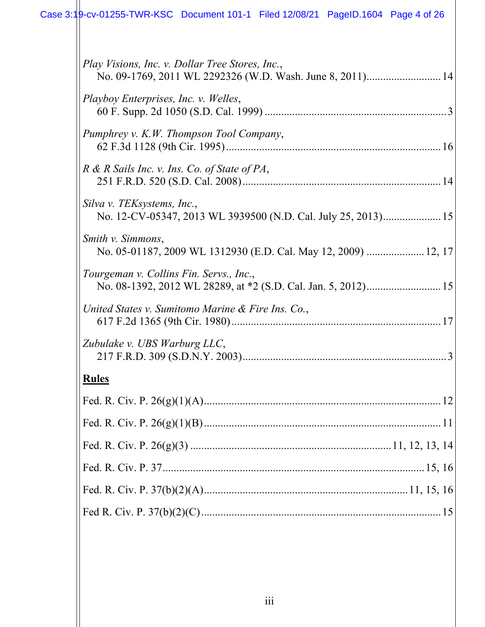# Case 3:19-cv-01255-TWR-KSC Document 101-1 Filed 12/08/21 PageID.1604 Page 4 of 26

| Play Visions, Inc. v. Dollar Tree Stores, Inc.,<br>No. 09-1769, 2011 WL 2292326 (W.D. Wash. June 8, 2011) 14<br>Playboy Enterprises, Inc. v. Welles,<br>Pumphrey v. K.W. Thompson Tool Company,<br>R & R Sails Inc. v. Ins. Co. of State of PA,<br>Silva v. TEKsystems, Inc.,<br>No. 12-CV-05347, 2013 WL 3939500 (N.D. Cal. July 25, 2013) 15<br>Smith v. Simmons,<br>No. 05-01187, 2009 WL 1312930 (E.D. Cal. May 12, 2009)  12, 17<br>Tourgeman v. Collins Fin. Servs., Inc.,<br>No. 08-1392, 2012 WL 28289, at *2 (S.D. Cal. Jan. 5, 2012) 15<br>United States v. Sumitomo Marine $\&$ Fire Ins. Co.,<br>Zubulake v. UBS Warburg LLC,<br><b>Rules</b> |  |
|-----------------------------------------------------------------------------------------------------------------------------------------------------------------------------------------------------------------------------------------------------------------------------------------------------------------------------------------------------------------------------------------------------------------------------------------------------------------------------------------------------------------------------------------------------------------------------------------------------------------------------------------------------------|--|
|                                                                                                                                                                                                                                                                                                                                                                                                                                                                                                                                                                                                                                                           |  |
|                                                                                                                                                                                                                                                                                                                                                                                                                                                                                                                                                                                                                                                           |  |
|                                                                                                                                                                                                                                                                                                                                                                                                                                                                                                                                                                                                                                                           |  |
|                                                                                                                                                                                                                                                                                                                                                                                                                                                                                                                                                                                                                                                           |  |
|                                                                                                                                                                                                                                                                                                                                                                                                                                                                                                                                                                                                                                                           |  |
|                                                                                                                                                                                                                                                                                                                                                                                                                                                                                                                                                                                                                                                           |  |
|                                                                                                                                                                                                                                                                                                                                                                                                                                                                                                                                                                                                                                                           |  |
|                                                                                                                                                                                                                                                                                                                                                                                                                                                                                                                                                                                                                                                           |  |
|                                                                                                                                                                                                                                                                                                                                                                                                                                                                                                                                                                                                                                                           |  |
|                                                                                                                                                                                                                                                                                                                                                                                                                                                                                                                                                                                                                                                           |  |
|                                                                                                                                                                                                                                                                                                                                                                                                                                                                                                                                                                                                                                                           |  |
|                                                                                                                                                                                                                                                                                                                                                                                                                                                                                                                                                                                                                                                           |  |
|                                                                                                                                                                                                                                                                                                                                                                                                                                                                                                                                                                                                                                                           |  |
|                                                                                                                                                                                                                                                                                                                                                                                                                                                                                                                                                                                                                                                           |  |
|                                                                                                                                                                                                                                                                                                                                                                                                                                                                                                                                                                                                                                                           |  |
|                                                                                                                                                                                                                                                                                                                                                                                                                                                                                                                                                                                                                                                           |  |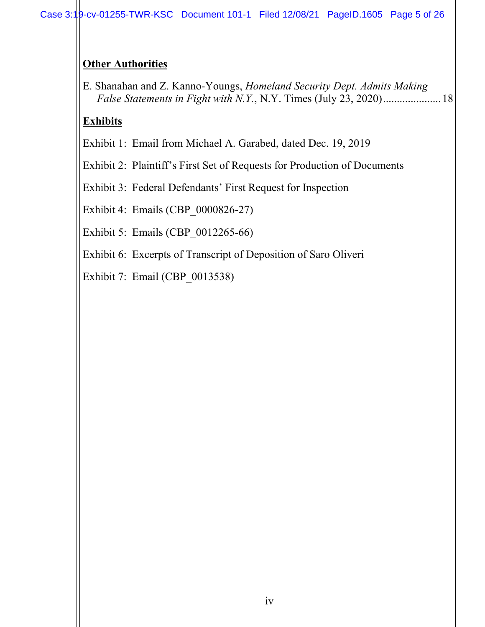# **Other Authorities**

E. Shanahan and Z. Kanno-Youngs, *Homeland Security Dept. Admits Making False Statements in Fight with N.Y.*, N.Y. Times (July 23, 2020)....................[.18](#page-22-4)

# **Exhibits**

Exhibit 1: Email from Michael A. Garabed, dated Dec. 19, 2019

Exhibit 2: Plaintiff's First Set of Requests for Production of Documents

Exhibit 3: Federal Defendants' First Request for Inspection

Exhibit 4: Emails (CBP\_0000826-27)

Exhibit 5: Emails (CBP\_0012265-66)

Exhibit 6: Excerpts of Transcript of Deposition of Saro Oliveri

Exhibit 7: Email (CBP\_0013538)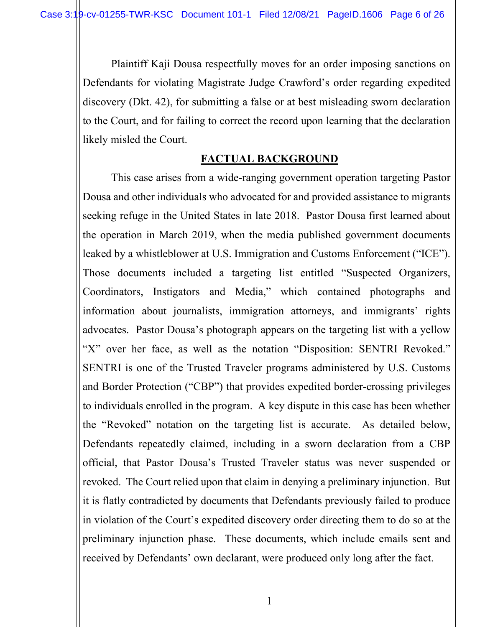Plaintiff Kaji Dousa respectfully moves for an order imposing sanctions on Defendants for violating Magistrate Judge Crawford's order regarding expedited discovery (Dkt. 42), for submitting a false or at best misleading sworn declaration to the Court, and for failing to correct the record upon learning that the declaration likely misled the Court.

#### **FACTUAL BACKGROUND**

<span id="page-5-0"></span>This case arises from a wide-ranging government operation targeting Pastor Dousa and other individuals who advocated for and provided assistance to migrants seeking refuge in the United States in late 2018. Pastor Dousa first learned about the operation in March 2019, when the media published government documents leaked by a whistleblower at U.S. Immigration and Customs Enforcement ("ICE"). Those documents included a targeting list entitled "Suspected Organizers, Coordinators, Instigators and Media," which contained photographs and information about journalists, immigration attorneys, and immigrants' rights advocates. Pastor Dousa's photograph appears on the targeting list with a yellow "X" over her face, as well as the notation "Disposition: SENTRI Revoked." SENTRI is one of the Trusted Traveler programs administered by U.S. Customs and Border Protection ("CBP") that provides expedited border-crossing privileges to individuals enrolled in the program. A key dispute in this case has been whether the "Revoked" notation on the targeting list is accurate. As detailed below, Defendants repeatedly claimed, including in a sworn declaration from a CBP official, that Pastor Dousa's Trusted Traveler status was never suspended or revoked. The Court relied upon that claim in denying a preliminary injunction. But it is flatly contradicted by documents that Defendants previously failed to produce in violation of the Court's expedited discovery order directing them to do so at the preliminary injunction phase. These documents, which include emails sent and received by Defendants' own declarant, were produced only long after the fact.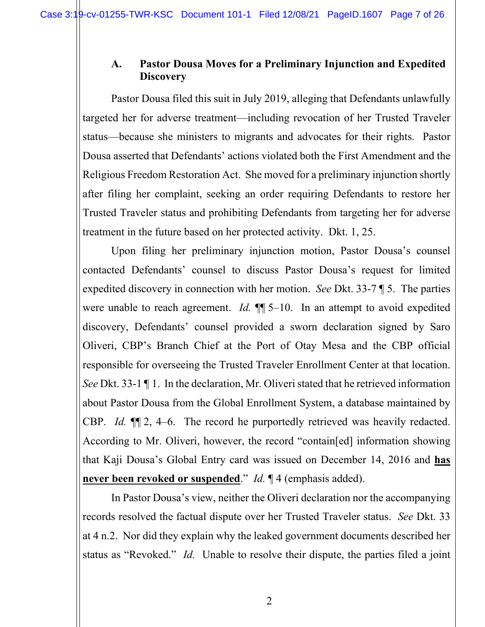# <span id="page-6-0"></span>**A. Pastor Dousa Moves for a Preliminary Injunction and Expedited Discovery**

Pastor Dousa filed this suit in July 2019, alleging that Defendants unlawfully targeted her for adverse treatment—including revocation of her Trusted Traveler status—because she ministers to migrants and advocates for their rights. Pastor Dousa asserted that Defendants' actions violated both the First Amendment and the Religious Freedom Restoration Act. She moved for a preliminary injunction shortly after filing her complaint, seeking an order requiring Defendants to restore her Trusted Traveler status and prohibiting Defendants from targeting her for adverse treatment in the future based on her protected activity. Dkt. 1, 25.

Upon filing her preliminary injunction motion, Pastor Dousa's counsel contacted Defendants' counsel to discuss Pastor Dousa's request for limited expedited discovery in connection with her motion. *See* Dkt. 33-7 ¶ 5. The parties were unable to reach agreement. *Id.*  $\P$  5–10. In an attempt to avoid expedited discovery, Defendants' counsel provided a sworn declaration signed by Saro Oliveri, CBP's Branch Chief at the Port of Otay Mesa and the CBP official responsible for overseeing the Trusted Traveler Enrollment Center at that location. *See* Dkt. 33-1 ¶ 1. In the declaration, Mr. Oliveri stated that he retrieved information about Pastor Dousa from the Global Enrollment System, a database maintained by CBP. *Id.* ¶¶ 2, 4–6. The record he purportedly retrieved was heavily redacted. According to Mr. Oliveri, however, the record "contain[ed] information showing that Kaji Dousa's Global Entry card was issued on December 14, 2016 and **has never been revoked or suspended**." *Id.* ¶ 4 (emphasis added).

In Pastor Dousa's view, neither the Oliveri declaration nor the accompanying records resolved the factual dispute over her Trusted Traveler status. *See* Dkt. 33 at 4 n.2. Nor did they explain why the leaked government documents described her status as "Revoked." *Id.* Unable to resolve their dispute, the parties filed a joint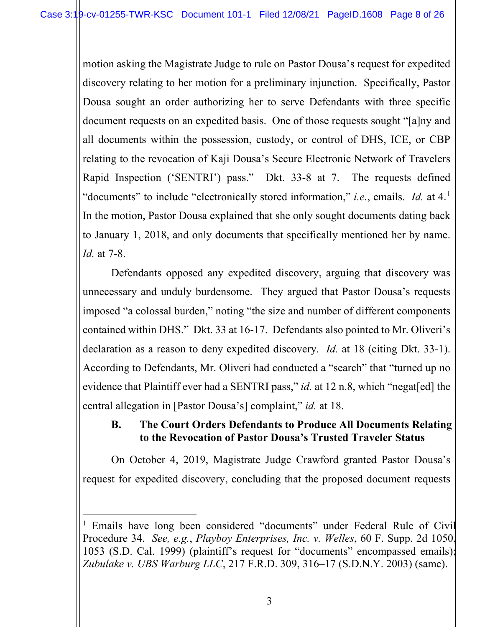motion asking the Magistrate Judge to rule on Pastor Dousa's request for expedited discovery relating to her motion for a preliminary injunction. Specifically, Pastor Dousa sought an order authorizing her to serve Defendants with three specific document requests on an expedited basis. One of those requests sought "[a]ny and all documents within the possession, custody, or control of DHS, ICE, or CBP relating to the revocation of Kaji Dousa's Secure Electronic Network of Travelers Rapid Inspection ('SENTRI') pass." Dkt. 33-8 at 7. The requests defined "documents" to include "electronically stored information," *i.e.*, emails. *Id.* at 4.[1](#page-7-3) In the motion, Pastor Dousa explained that she only sought documents dating back to January 1, 2018, and only documents that specifically mentioned her by name. *Id.* at 7-8.

Defendants opposed any expedited discovery, arguing that discovery was unnecessary and unduly burdensome. They argued that Pastor Dousa's requests imposed "a colossal burden," noting "the size and number of different components contained within DHS." Dkt. 33 at 16-17. Defendants also pointed to Mr. Oliveri's declaration as a reason to deny expedited discovery. *Id.* at 18 (citing Dkt. 33-1). According to Defendants, Mr. Oliveri had conducted a "search" that "turned up no evidence that Plaintiff ever had a SENTRI pass," *id.* at 12 n.8, which "negat[ed] the central allegation in [Pastor Dousa's] complaint," *id.* at 18.

# <span id="page-7-0"></span>**B. The Court Orders Defendants to Produce All Documents Relating to the Revocation of Pastor Dousa's Trusted Traveler Status**

On October 4, 2019, Magistrate Judge Crawford granted Pastor Dousa's request for expedited discovery, concluding that the proposed document requests

<span id="page-7-3"></span><span id="page-7-2"></span><span id="page-7-1"></span><sup>&</sup>lt;sup>1</sup> Emails have long been considered "documents" under Federal Rule of Civil Procedure 34. *See, e.g.*, *Playboy Enterprises, Inc. v. Welles*, 60 F. Supp. 2d 1050, 1053 (S.D. Cal. 1999) (plaintiff's request for "documents" encompassed emails); *Zubulake v. UBS Warburg LLC*, 217 F.R.D. 309, 316–17 (S.D.N.Y. 2003) (same).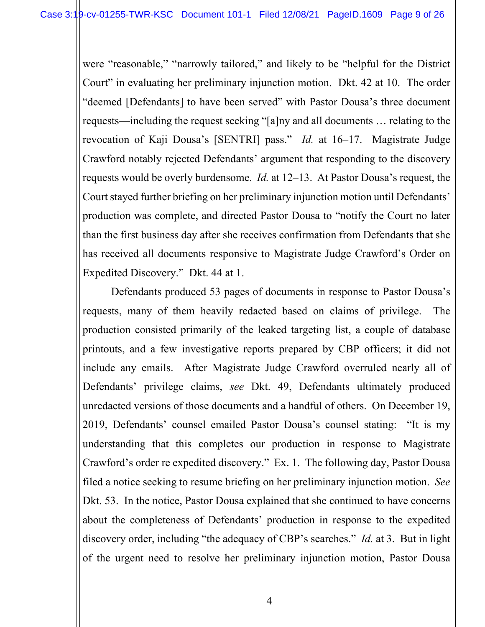were "reasonable," "narrowly tailored," and likely to be "helpful for the District Court" in evaluating her preliminary injunction motion. Dkt. 42 at 10. The order "deemed [Defendants] to have been served" with Pastor Dousa's three document requests—including the request seeking "[a]ny and all documents … relating to the revocation of Kaji Dousa's [SENTRI] pass." *Id.* at 16–17. Magistrate Judge Crawford notably rejected Defendants' argument that responding to the discovery requests would be overly burdensome. *Id.* at 12–13. At Pastor Dousa's request, the Court stayed further briefing on her preliminary injunction motion until Defendants' production was complete, and directed Pastor Dousa to "notify the Court no later than the first business day after she receives confirmation from Defendants that she has received all documents responsive to Magistrate Judge Crawford's Order on Expedited Discovery." Dkt. 44 at 1.

Defendants produced 53 pages of documents in response to Pastor Dousa's requests, many of them heavily redacted based on claims of privilege. The production consisted primarily of the leaked targeting list, a couple of database printouts, and a few investigative reports prepared by CBP officers; it did not include any emails. After Magistrate Judge Crawford overruled nearly all of Defendants' privilege claims, *see* Dkt. 49, Defendants ultimately produced unredacted versions of those documents and a handful of others. On December 19, 2019, Defendants' counsel emailed Pastor Dousa's counsel stating: "It is my understanding that this completes our production in response to Magistrate Crawford's order re expedited discovery." Ex. 1. The following day, Pastor Dousa filed a notice seeking to resume briefing on her preliminary injunction motion. *See*  Dkt. 53. In the notice, Pastor Dousa explained that she continued to have concerns about the completeness of Defendants' production in response to the expedited discovery order, including "the adequacy of CBP's searches." *Id.* at 3. But in light of the urgent need to resolve her preliminary injunction motion, Pastor Dousa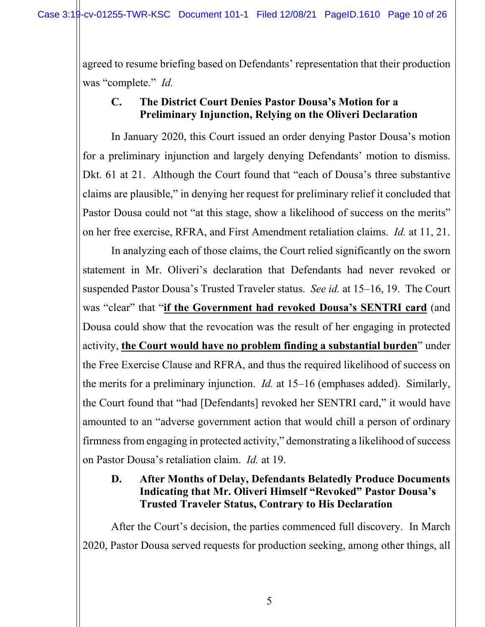agreed to resume briefing based on Defendants' representation that their production was "complete." *Id.*

# <span id="page-9-0"></span>**C. The District Court Denies Pastor Dousa's Motion for a Preliminary Injunction, Relying on the Oliveri Declaration**

In January 2020, this Court issued an order denying Pastor Dousa's motion for a preliminary injunction and largely denying Defendants' motion to dismiss. Dkt. 61 at 21. Although the Court found that "each of Dousa's three substantive claims are plausible," in denying her request for preliminary relief it concluded that Pastor Dousa could not "at this stage, show a likelihood of success on the merits" on her free exercise, RFRA, and First Amendment retaliation claims. *Id.* at 11, 21.

In analyzing each of those claims, the Court relied significantly on the sworn statement in Mr. Oliveri's declaration that Defendants had never revoked or suspended Pastor Dousa's Trusted Traveler status. *See id.* at 15–16, 19. The Court was "clear" that "**if the Government had revoked Dousa's SENTRI card** (and Dousa could show that the revocation was the result of her engaging in protected activity, **the Court would have no problem finding a substantial burden**" under the Free Exercise Clause and RFRA, and thus the required likelihood of success on the merits for a preliminary injunction. *Id.* at 15–16 (emphases added). Similarly, the Court found that "had [Defendants] revoked her SENTRI card," it would have amounted to an "adverse government action that would chill a person of ordinary firmness from engaging in protected activity," demonstrating a likelihood of success on Pastor Dousa's retaliation claim. *Id.* at 19.

#### <span id="page-9-1"></span>**D. After Months of Delay, Defendants Belatedly Produce Documents Indicating that Mr. Oliveri Himself "Revoked" Pastor Dousa's Trusted Traveler Status, Contrary to His Declaration**

After the Court's decision, the parties commenced full discovery. In March 2020, Pastor Dousa served requests for production seeking, among other things, all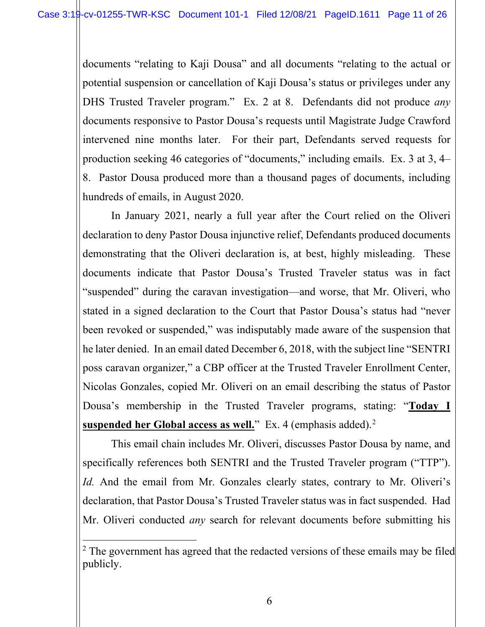documents "relating to Kaji Dousa" and all documents "relating to the actual or potential suspension or cancellation of Kaji Dousa's status or privileges under any DHS Trusted Traveler program." Ex. 2 at 8. Defendants did not produce *any* documents responsive to Pastor Dousa's requests until Magistrate Judge Crawford intervened nine months later. For their part, Defendants served requests for production seeking 46 categories of "documents," including emails. Ex. 3 at 3, 4– 8. Pastor Dousa produced more than a thousand pages of documents, including hundreds of emails, in August 2020.

In January 2021, nearly a full year after the Court relied on the Oliveri declaration to deny Pastor Dousa injunctive relief, Defendants produced documents demonstrating that the Oliveri declaration is, at best, highly misleading. These documents indicate that Pastor Dousa's Trusted Traveler status was in fact "suspended" during the caravan investigation—and worse, that Mr. Oliveri, who stated in a signed declaration to the Court that Pastor Dousa's status had "never been revoked or suspended," was indisputably made aware of the suspension that he later denied. In an email dated December 6, 2018, with the subject line "SENTRI poss caravan organizer," a CBP officer at the Trusted Traveler Enrollment Center, Nicolas Gonzales, copied Mr. Oliveri on an email describing the status of Pastor Dousa's membership in the Trusted Traveler programs, stating: "**Today I suspended her Global access as well.**" Ex. 4 (emphasis added).<sup>[2](#page-10-0)</sup>

This email chain includes Mr. Oliveri, discusses Pastor Dousa by name, and specifically references both SENTRI and the Trusted Traveler program ("TTP"). *Id.* And the email from Mr. Gonzales clearly states, contrary to Mr. Oliveri's declaration, that Pastor Dousa's Trusted Traveler status was in fact suspended. Had Mr. Oliveri conducted *any* search for relevant documents before submitting his

<span id="page-10-0"></span> $2$  The government has agreed that the redacted versions of these emails may be filed publicly.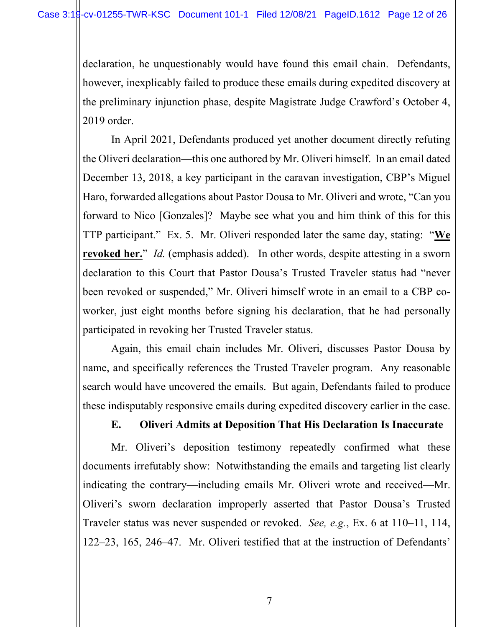declaration, he unquestionably would have found this email chain. Defendants, however, inexplicably failed to produce these emails during expedited discovery at the preliminary injunction phase, despite Magistrate Judge Crawford's October 4, 2019 order.

In April 2021, Defendants produced yet another document directly refuting the Oliveri declaration—this one authored by Mr. Oliveri himself. In an email dated December 13, 2018, a key participant in the caravan investigation, CBP's Miguel Haro, forwarded allegations about Pastor Dousa to Mr. Oliveri and wrote, "Can you forward to Nico [Gonzales]? Maybe see what you and him think of this for this TTP participant." Ex. 5. Mr. Oliveri responded later the same day, stating: "**We revoked her.**" *Id.* (emphasis added). In other words, despite attesting in a sworn declaration to this Court that Pastor Dousa's Trusted Traveler status had "never been revoked or suspended," Mr. Oliveri himself wrote in an email to a CBP coworker, just eight months before signing his declaration, that he had personally participated in revoking her Trusted Traveler status.

Again, this email chain includes Mr. Oliveri, discusses Pastor Dousa by name, and specifically references the Trusted Traveler program. Any reasonable search would have uncovered the emails. But again, Defendants failed to produce these indisputably responsive emails during expedited discovery earlier in the case.

# **E. Oliveri Admits at Deposition That His Declaration Is Inaccurate**

<span id="page-11-0"></span>Mr. Oliveri's deposition testimony repeatedly confirmed what these documents irrefutably show: Notwithstanding the emails and targeting list clearly indicating the contrary—including emails Mr. Oliveri wrote and received—Mr. Oliveri's sworn declaration improperly asserted that Pastor Dousa's Trusted Traveler status was never suspended or revoked. *See, e.g.*, Ex. 6 at 110–11, 114, 122–23, 165, 246–47. Mr. Oliveri testified that at the instruction of Defendants'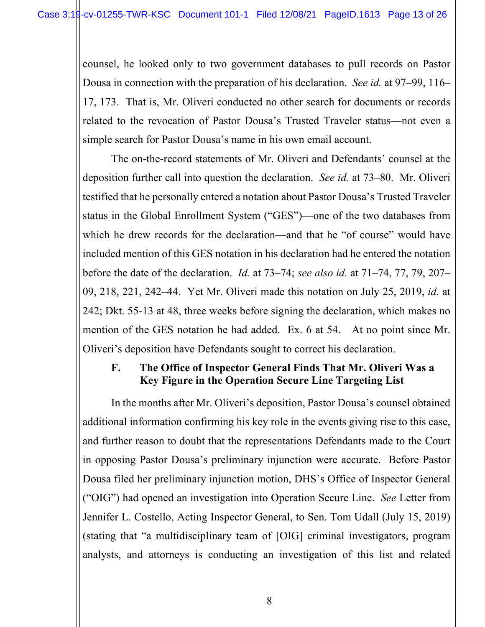counsel, he looked only to two government databases to pull records on Pastor Dousa in connection with the preparation of his declaration. *See id.* at 97–99, 116– 17, 173. That is, Mr. Oliveri conducted no other search for documents or records related to the revocation of Pastor Dousa's Trusted Traveler status—not even a simple search for Pastor Dousa's name in his own email account.

The on-the-record statements of Mr. Oliveri and Defendants' counsel at the deposition further call into question the declaration. *See id.* at 73–80. Mr. Oliveri testified that he personally entered a notation about Pastor Dousa's Trusted Traveler status in the Global Enrollment System ("GES")—one of the two databases from which he drew records for the declaration—and that he "of course" would have included mention of this GES notation in his declaration had he entered the notation before the date of the declaration. *Id.* at 73–74; *see also id.* at 71–74, 77, 79, 207– 09, 218, 221, 242–44. Yet Mr. Oliveri made this notation on July 25, 2019, *id.* at 242; Dkt. 55-13 at 48, three weeks before signing the declaration, which makes no mention of the GES notation he had added. Ex. 6 at 54. At no point since Mr. Oliveri's deposition have Defendants sought to correct his declaration.

#### <span id="page-12-0"></span>**F. The Office of Inspector General Finds That Mr. Oliveri Was a Key Figure in the Operation Secure Line Targeting List**

In the months after Mr. Oliveri's deposition, Pastor Dousa's counsel obtained additional information confirming his key role in the events giving rise to this case, and further reason to doubt that the representations Defendants made to the Court in opposing Pastor Dousa's preliminary injunction were accurate. Before Pastor Dousa filed her preliminary injunction motion, DHS's Office of Inspector General ("OIG") had opened an investigation into Operation Secure Line. *See* Letter from Jennifer L. Costello, Acting Inspector General, to Sen. Tom Udall (July 15, 2019) (stating that "a multidisciplinary team of [OIG] criminal investigators, program analysts, and attorneys is conducting an investigation of this list and related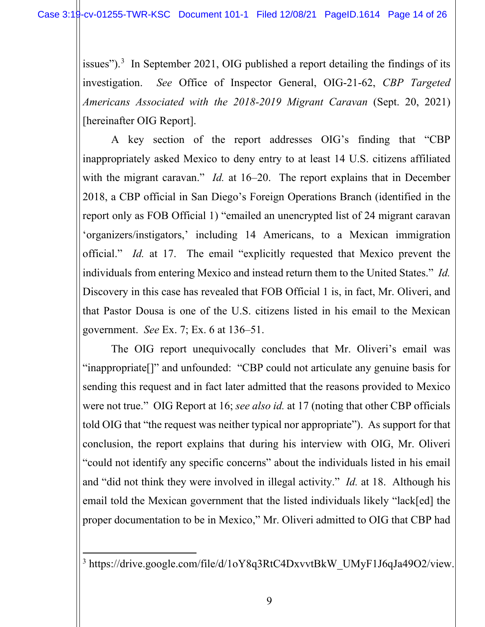issues").<sup>[3](#page-13-0)</sup> In September 2021, OIG published a report detailing the findings of its investigation. *See* Office of Inspector General, OIG-21-62, *CBP Targeted Americans Associated with the 2018-2019 Migrant Caravan* (Sept. 20, 2021) [hereinafter OIG Report].

A key section of the report addresses OIG's finding that "CBP inappropriately asked Mexico to deny entry to at least 14 U.S. citizens affiliated with the migrant caravan." *Id.* at 16–20. The report explains that in December 2018, a CBP official in San Diego's Foreign Operations Branch (identified in the report only as FOB Official 1) "emailed an unencrypted list of 24 migrant caravan 'organizers/instigators,' including 14 Americans, to a Mexican immigration official." *Id.* at 17. The email "explicitly requested that Mexico prevent the individuals from entering Mexico and instead return them to the United States." *Id.* Discovery in this case has revealed that FOB Official 1 is, in fact, Mr. Oliveri, and that Pastor Dousa is one of the U.S. citizens listed in his email to the Mexican government. *See* Ex. 7; Ex. 6 at 136–51.

The OIG report unequivocally concludes that Mr. Oliveri's email was "inappropriate[]" and unfounded: "CBP could not articulate any genuine basis for sending this request and in fact later admitted that the reasons provided to Mexico were not true." OIG Report at 16; *see also id.* at 17 (noting that other CBP officials told OIG that "the request was neither typical nor appropriate"). As support for that conclusion, the report explains that during his interview with OIG, Mr. Oliveri "could not identify any specific concerns" about the individuals listed in his email and "did not think they were involved in illegal activity." *Id.* at 18. Although his email told the Mexican government that the listed individuals likely "lack[ed] the proper documentation to be in Mexico," Mr. Oliveri admitted to OIG that CBP had

<span id="page-13-0"></span><sup>&</sup>lt;sup>3</sup> https://drive.google.com/file/d/1oY8q3RtC4DxvvtBkW\_UMyF1J6qJa49O2/view.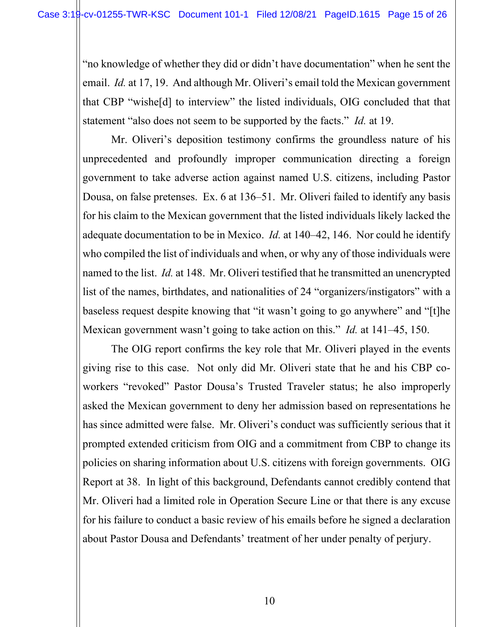"no knowledge of whether they did or didn't have documentation" when he sent the email. *Id.* at 17, 19. And although Mr. Oliveri's email told the Mexican government that CBP "wishe[d] to interview" the listed individuals, OIG concluded that that statement "also does not seem to be supported by the facts." *Id.* at 19.

Mr. Oliveri's deposition testimony confirms the groundless nature of his unprecedented and profoundly improper communication directing a foreign government to take adverse action against named U.S. citizens, including Pastor Dousa, on false pretenses. Ex. 6 at 136–51. Mr. Oliveri failed to identify any basis for his claim to the Mexican government that the listed individuals likely lacked the adequate documentation to be in Mexico. *Id.* at 140–42, 146. Nor could he identify who compiled the list of individuals and when, or why any of those individuals were named to the list. *Id.* at 148. Mr. Oliveri testified that he transmitted an unencrypted list of the names, birthdates, and nationalities of 24 "organizers/instigators" with a baseless request despite knowing that "it wasn't going to go anywhere" and "[t]he Mexican government wasn't going to take action on this." *Id.* at 141–45, 150.

The OIG report confirms the key role that Mr. Oliveri played in the events giving rise to this case. Not only did Mr. Oliveri state that he and his CBP coworkers "revoked" Pastor Dousa's Trusted Traveler status; he also improperly asked the Mexican government to deny her admission based on representations he has since admitted were false. Mr. Oliveri's conduct was sufficiently serious that it prompted extended criticism from OIG and a commitment from CBP to change its policies on sharing information about U.S. citizens with foreign governments. OIG Report at 38. In light of this background, Defendants cannot credibly contend that Mr. Oliveri had a limited role in Operation Secure Line or that there is any excuse for his failure to conduct a basic review of his emails before he signed a declaration about Pastor Dousa and Defendants' treatment of her under penalty of perjury.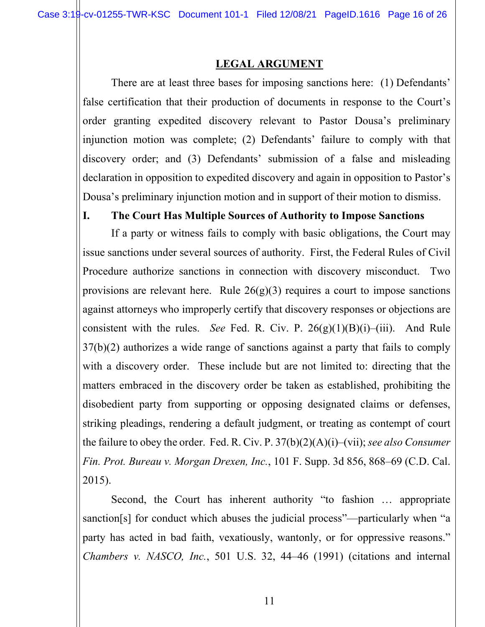#### **LEGAL ARGUMENT**

<span id="page-15-0"></span>There are at least three bases for imposing sanctions here: (1) Defendants' false certification that their production of documents in response to the Court's order granting expedited discovery relevant to Pastor Dousa's preliminary injunction motion was complete; (2) Defendants' failure to comply with that discovery order; and (3) Defendants' submission of a false and misleading declaration in opposition to expedited discovery and again in opposition to Pastor's Dousa's preliminary injunction motion and in support of their motion to dismiss.

#### <span id="page-15-1"></span>**I. The Court Has Multiple Sources of Authority to Impose Sanctions**

<span id="page-15-5"></span><span id="page-15-4"></span>If a party or witness fails to comply with basic obligations, the Court may issue sanctions under several sources of authority. First, the Federal Rules of Civil Procedure authorize sanctions in connection with discovery misconduct. Two provisions are relevant here. Rule  $26(g)(3)$  requires a court to impose sanctions against attorneys who improperly certify that discovery responses or objections are consistent with the rules. *See* Fed. R. Civ. P.  $26(g)(1)(B)(i)$ –(iii). And Rule 37(b)(2) authorizes a wide range of sanctions against a party that fails to comply with a discovery order. These include but are not limited to: directing that the matters embraced in the discovery order be taken as established, prohibiting the disobedient party from supporting or opposing designated claims or defenses, striking pleadings, rendering a default judgment, or treating as contempt of court the failure to obey the order. Fed. R. Civ. P. 37(b)(2)(A)(i)–(vii); *see also Consumer Fin. Prot. Bureau v. Morgan Drexen, Inc.*, 101 F. Supp. 3d 856, 868–69 (C.D. Cal. 2015).

<span id="page-15-3"></span><span id="page-15-2"></span>Second, the Court has inherent authority "to fashion … appropriate sanction[s] for conduct which abuses the judicial process"—particularly when "a party has acted in bad faith, vexatiously, wantonly, or for oppressive reasons." *Chambers v. NASCO, Inc.*, 501 U.S. 32, 44–46 (1991) (citations and internal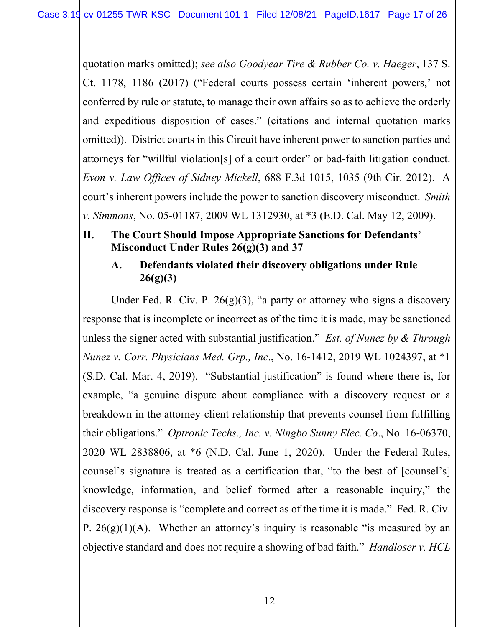<span id="page-16-4"></span>quotation marks omitted); *see also Goodyear Tire & Rubber Co. v. Haeger*, 137 S. Ct. 1178, 1186 (2017) ("Federal courts possess certain 'inherent powers,' not conferred by rule or statute, to manage their own affairs so as to achieve the orderly and expeditious disposition of cases." (citations and internal quotation marks omitted)). District courts in this Circuit have inherent power to sanction parties and attorneys for "willful violation[s] of a court order" or bad-faith litigation conduct. *Evon v. Law Offices of Sidney Mickell*, 688 F.3d 1015, 1035 (9th Cir. 2012). A court's inherent powers include the power to sanction discovery misconduct. *Smith v. Simmons*, No. 05-01187, 2009 WL 1312930, at \*3 (E.D. Cal. May 12, 2009).

# <span id="page-16-3"></span><span id="page-16-0"></span>**II. The Court Should Impose Appropriate Sanctions for Defendants' Misconduct Under Rules 26(g)(3) and 37**

# <span id="page-16-9"></span><span id="page-16-8"></span><span id="page-16-7"></span><span id="page-16-2"></span><span id="page-16-1"></span>**A. Defendants violated their discovery obligations under Rule 26(g)(3)**

<span id="page-16-6"></span><span id="page-16-5"></span>Under Fed. R. Civ. P.  $26(g)(3)$ , "a party or attorney who signs a discovery response that is incomplete or incorrect as of the time it is made, may be sanctioned unless the signer acted with substantial justification." *Est. of Nunez by & Through Nunez v. Corr. Physicians Med. Grp., Inc*., No. 16-1412, 2019 WL 1024397, at \*1 (S.D. Cal. Mar. 4, 2019). "Substantial justification" is found where there is, for example, "a genuine dispute about compliance with a discovery request or a breakdown in the attorney-client relationship that prevents counsel from fulfilling their obligations." *Optronic Techs., Inc. v. Ningbo Sunny Elec. Co*., No. 16-06370, 2020 WL 2838806, at \*6 (N.D. Cal. June 1, 2020). Under the Federal Rules, counsel's signature is treated as a certification that, "to the best of [counsel's] knowledge, information, and belief formed after a reasonable inquiry," the discovery response is "complete and correct as of the time it is made." Fed. R. Civ. P.  $26(g)(1)(A)$ . Whether an attorney's inquiry is reasonable "is measured by an objective standard and does not require a showing of bad faith." *Handloser v. HCL*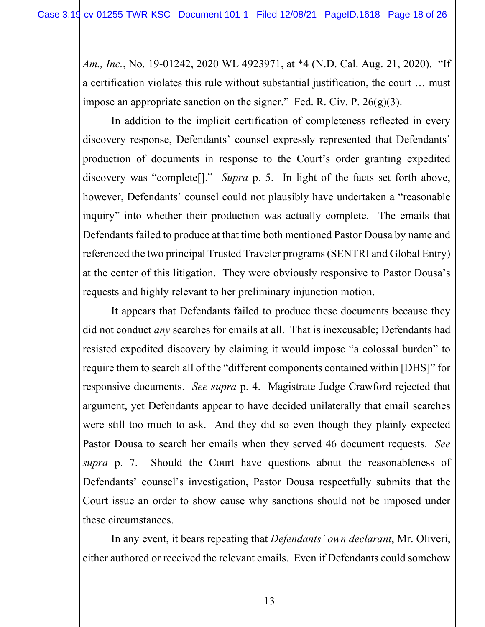*Am., Inc.*, No. 19-01242, 2020 WL 4923971, at \*4 (N.D. Cal. Aug. 21, 2020). "If a certification violates this rule without substantial justification, the court … must impose an appropriate sanction on the signer." Fed. R. Civ. P.  $26(g)(3)$ .

<span id="page-17-0"></span>In addition to the implicit certification of completeness reflected in every discovery response, Defendants' counsel expressly represented that Defendants' production of documents in response to the Court's order granting expedited discovery was "complete[]." *Supra* p. 5. In light of the facts set forth above, however, Defendants' counsel could not plausibly have undertaken a "reasonable inquiry" into whether their production was actually complete. The emails that Defendants failed to produce at that time both mentioned Pastor Dousa by name and referenced the two principal Trusted Traveler programs (SENTRI and Global Entry) at the center of this litigation. They were obviously responsive to Pastor Dousa's requests and highly relevant to her preliminary injunction motion.

It appears that Defendants failed to produce these documents because they did not conduct *any* searches for emails at all. That is inexcusable; Defendants had resisted expedited discovery by claiming it would impose "a colossal burden" to require them to search all of the "different components contained within [DHS]" for responsive documents. *See supra* p. 4. Magistrate Judge Crawford rejected that argument, yet Defendants appear to have decided unilaterally that email searches were still too much to ask. And they did so even though they plainly expected Pastor Dousa to search her emails when they served 46 document requests. *See supra* p. 7. Should the Court have questions about the reasonableness of Defendants' counsel's investigation, Pastor Dousa respectfully submits that the Court issue an order to show cause why sanctions should not be imposed under these circumstances.

In any event, it bears repeating that *Defendants' own declarant*, Mr. Oliveri, either authored or received the relevant emails. Even if Defendants could somehow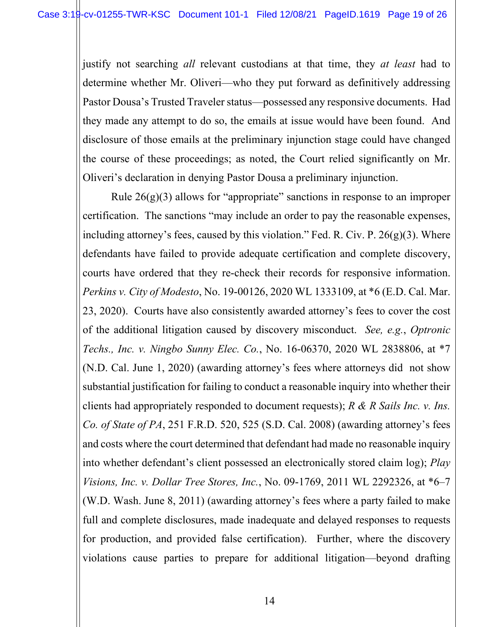justify not searching *all* relevant custodians at that time, they *at least* had to determine whether Mr. Oliveri—who they put forward as definitively addressing Pastor Dousa's Trusted Traveler status—possessed any responsive documents. Had they made any attempt to do so, the emails at issue would have been found. And disclosure of those emails at the preliminary injunction stage could have changed the course of these proceedings; as noted, the Court relied significantly on Mr. Oliveri's declaration in denying Pastor Dousa a preliminary injunction.

<span id="page-18-4"></span><span id="page-18-3"></span><span id="page-18-2"></span><span id="page-18-1"></span><span id="page-18-0"></span>Rule  $26(g)(3)$  allows for "appropriate" sanctions in response to an improper certification. The sanctions "may include an order to pay the reasonable expenses, including attorney's fees, caused by this violation." Fed. R. Civ. P.  $26(g)(3)$ . Where defendants have failed to provide adequate certification and complete discovery, courts have ordered that they re-check their records for responsive information. *Perkins v. City of Modesto*, No. 19-00126, 2020 WL 1333109, at \*6 (E.D. Cal. Mar. 23, 2020). Courts have also consistently awarded attorney's fees to cover the cost of the additional litigation caused by discovery misconduct. *See, e.g.*, *Optronic Techs., Inc. v. Ningbo Sunny Elec. Co.*, No. 16-06370, 2020 WL 2838806, at \*7 (N.D. Cal. June 1, 2020) (awarding attorney's fees where attorneys did not show substantial justification for failing to conduct a reasonable inquiry into whether their clients had appropriately responded to document requests); *R & R Sails Inc. v. Ins. Co. of State of PA*, 251 F.R.D. 520, 525 (S.D. Cal. 2008) (awarding attorney's fees and costs where the court determined that defendant had made no reasonable inquiry into whether defendant's client possessed an electronically stored claim log); *Play Visions, Inc. v. Dollar Tree Stores, Inc.*, No. 09-1769, 2011 WL 2292326, at \*6–7 (W.D. Wash. June 8, 2011) (awarding attorney's fees where a party failed to make full and complete disclosures, made inadequate and delayed responses to requests for production, and provided false certification). Further, where the discovery violations cause parties to prepare for additional litigation—beyond drafting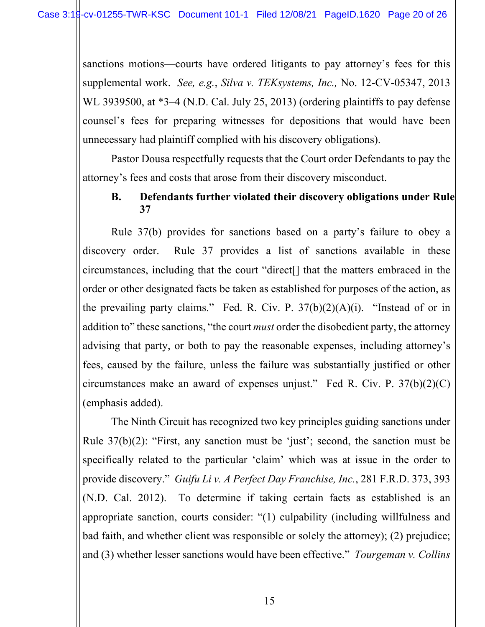<span id="page-19-2"></span>sanctions motions—courts have ordered litigants to pay attorney's fees for this supplemental work. *See, e.g.*, *Silva v. TEKsystems, Inc.,* No. 12-CV-05347, 2013 WL 3939500, at  $*3-4$  (N.D. Cal. July 25, 2013) (ordering plaintiffs to pay defense counsel's fees for preparing witnesses for depositions that would have been unnecessary had plaintiff complied with his discovery obligations).

Pastor Dousa respectfully requests that the Court order Defendants to pay the attorney's fees and costs that arose from their discovery misconduct.

# <span id="page-19-4"></span><span id="page-19-0"></span>**B. Defendants further violated their discovery obligations under Rule 37**

Rule 37(b) provides for sanctions based on a party's failure to obey a discovery order. Rule 37 provides a list of sanctions available in these circumstances, including that the court "direct[] that the matters embraced in the order or other designated facts be taken as established for purposes of the action, as the prevailing party claims." Fed. R. Civ. P.  $37(b)(2)(A)(i)$ . "Instead of or in addition to" these sanctions, "the court *must* order the disobedient party, the attorney advising that party, or both to pay the reasonable expenses, including attorney's fees, caused by the failure, unless the failure was substantially justified or other circumstances make an award of expenses unjust." Fed R. Civ. P. 37(b)(2)(C) (emphasis added).

<span id="page-19-5"></span><span id="page-19-3"></span><span id="page-19-1"></span>The Ninth Circuit has recognized two key principles guiding sanctions under Rule 37(b)(2): "First, any sanction must be 'just'; second, the sanction must be specifically related to the particular 'claim' which was at issue in the order to provide discovery." *Guifu Li v. A Perfect Day Franchise, Inc.*, 281 F.R.D. 373, 393 (N.D. Cal. 2012). To determine if taking certain facts as established is an appropriate sanction, courts consider: "(1) culpability (including willfulness and bad faith, and whether client was responsible or solely the attorney); (2) prejudice; and (3) whether lesser sanctions would have been effective." *Tourgeman v. Collins*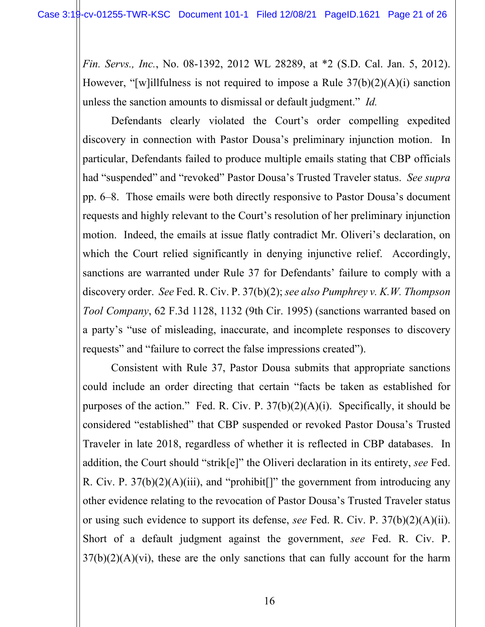<span id="page-20-2"></span>*Fin. Servs., Inc.*, No. 08-1392, 2012 WL 28289, at \*2 (S.D. Cal. Jan. 5, 2012). However, "[w]illfulness is not required to impose a Rule 37(b)(2)(A)(i) sanction unless the sanction amounts to dismissal or default judgment." *Id.*

Defendants clearly violated the Court's order compelling expedited discovery in connection with Pastor Dousa's preliminary injunction motion. In particular, Defendants failed to produce multiple emails stating that CBP officials had "suspended" and "revoked" Pastor Dousa's Trusted Traveler status. *See supra*  pp. 6–8. Those emails were both directly responsive to Pastor Dousa's document requests and highly relevant to the Court's resolution of her preliminary injunction motion. Indeed, the emails at issue flatly contradict Mr. Oliveri's declaration, on which the Court relied significantly in denying injunctive relief. Accordingly, sanctions are warranted under Rule 37 for Defendants' failure to comply with a discovery order. *See* Fed. R. Civ. P. 37(b)(2); *see also Pumphrey v. K.W. Thompson Tool Company*, 62 F.3d 1128, 1132 (9th Cir. 1995) (sanctions warranted based on a party's "use of misleading, inaccurate, and incomplete responses to discovery requests" and "failure to correct the false impressions created").

<span id="page-20-1"></span><span id="page-20-0"></span>Consistent with Rule 37, Pastor Dousa submits that appropriate sanctions could include an order directing that certain "facts be taken as established for purposes of the action." Fed. R. Civ. P.  $37(b)(2)(A)(i)$ . Specifically, it should be considered "established" that CBP suspended or revoked Pastor Dousa's Trusted Traveler in late 2018, regardless of whether it is reflected in CBP databases. In addition, the Court should "strik[e]" the Oliveri declaration in its entirety, *see* Fed. R. Civ. P.  $37(b)(2)(A)(iii)$ , and "prohibit[]" the government from introducing any other evidence relating to the revocation of Pastor Dousa's Trusted Traveler status or using such evidence to support its defense, *see* Fed. R. Civ. P. 37(b)(2)(A)(ii). Short of a default judgment against the government, *see* Fed. R. Civ. P.  $37(b)(2)(A)(vi)$ , these are the only sanctions that can fully account for the harm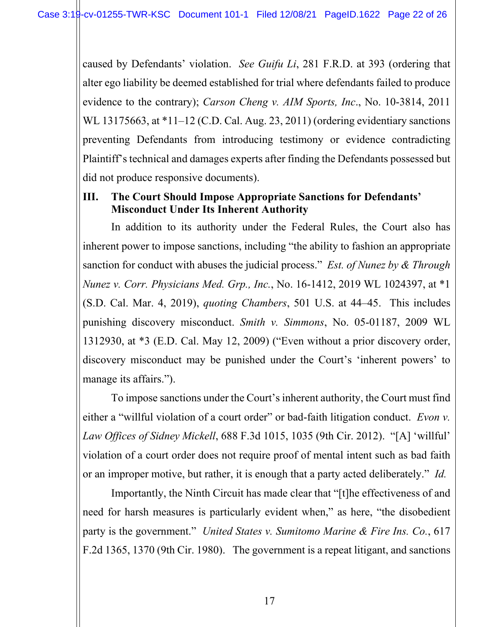<span id="page-21-5"></span><span id="page-21-1"></span>caused by Defendants' violation. *See Guifu Li*, 281 F.R.D. at 393 (ordering that alter ego liability be deemed established for trial where defendants failed to produce evidence to the contrary); *Carson Cheng v. AIM Sports, Inc*., No. 10-3814, 2011 WL 13175663, at \*11–12 (C.D. Cal. Aug. 23, 2011) (ordering evidentiary sanctions preventing Defendants from introducing testimony or evidence contradicting Plaintiff's technical and damages experts after finding the Defendants possessed but did not produce responsive documents).

#### <span id="page-21-0"></span>**III. The Court Should Impose Appropriate Sanctions for Defendants' Misconduct Under Its Inherent Authority**

<span id="page-21-3"></span><span id="page-21-2"></span>In addition to its authority under the Federal Rules, the Court also has inherent power to impose sanctions, including "the ability to fashion an appropriate sanction for conduct with abuses the judicial process." *Est. of Nunez by & Through Nunez v. Corr. Physicians Med. Grp., Inc.*, No. 16-1412, 2019 WL 1024397, at \*1 (S.D. Cal. Mar. 4, 2019), *quoting Chambers*, 501 U.S. at 44–45. This includes punishing discovery misconduct. *Smith v. Simmons*, No. 05-01187, 2009 WL 1312930, at \*3 (E.D. Cal. May 12, 2009) ("Even without a prior discovery order, discovery misconduct may be punished under the Court's 'inherent powers' to manage its affairs.").

<span id="page-21-6"></span><span id="page-21-4"></span>To impose sanctions under the Court's inherent authority, the Court must find either a "willful violation of a court order" or bad-faith litigation conduct. *Evon v. Law Offices of Sidney Mickell*, 688 F.3d 1015, 1035 (9th Cir. 2012). "[A] 'willful' violation of a court order does not require proof of mental intent such as bad faith or an improper motive, but rather, it is enough that a party acted deliberately." *Id.*

<span id="page-21-7"></span>Importantly, the Ninth Circuit has made clear that "[t]he effectiveness of and need for harsh measures is particularly evident when," as here, "the disobedient party is the government." *United States v. Sumitomo Marine & Fire Ins. Co.*, 617 F.2d 1365, 1370 (9th Cir. 1980). The government is a repeat litigant, and sanctions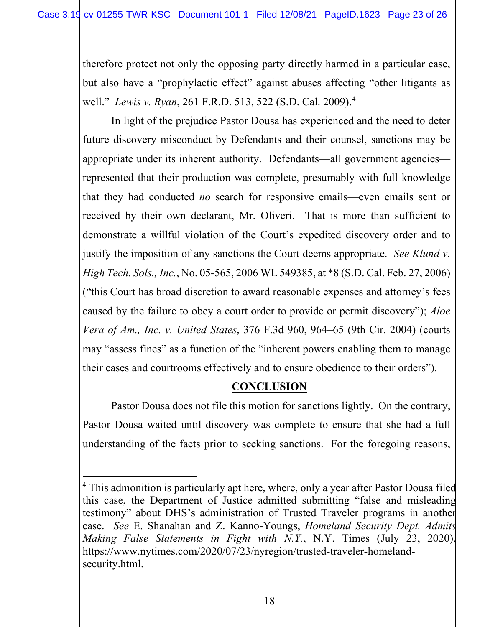therefore protect not only the opposing party directly harmed in a particular case, but also have a "prophylactic effect" against abuses affecting "other litigants as well." *Lewis v. Ryan*, 261 F.R.D. 513, 522 (S.D. Cal. 2009).[4](#page-22-5)

<span id="page-22-3"></span>In light of the prejudice Pastor Dousa has experienced and the need to deter future discovery misconduct by Defendants and their counsel, sanctions may be appropriate under its inherent authority. Defendants—all government agencies represented that their production was complete, presumably with full knowledge that they had conducted *no* search for responsive emails—even emails sent or received by their own declarant, Mr. Oliveri. That is more than sufficient to demonstrate a willful violation of the Court's expedited discovery order and to justify the imposition of any sanctions the Court deems appropriate. *See Klund v. High Tech. Sols., Inc.*, No. 05-565, 2006 WL 549385, at \*8 (S.D. Cal. Feb. 27, 2006) ("this Court has broad discretion to award reasonable expenses and attorney's fees caused by the failure to obey a court order to provide or permit discovery"); *Aloe Vera of Am., Inc. v. United States*, 376 F.3d 960, 964–65 (9th Cir. 2004) (courts may "assess fines" as a function of the "inherent powers enabling them to manage their cases and courtrooms effectively and to ensure obedience to their orders").

#### <span id="page-22-2"></span><span id="page-22-1"></span>**CONCLUSION**

<span id="page-22-0"></span>Pastor Dousa does not file this motion for sanctions lightly. On the contrary, Pastor Dousa waited until discovery was complete to ensure that she had a full understanding of the facts prior to seeking sanctions. For the foregoing reasons,

<span id="page-22-5"></span><span id="page-22-4"></span><sup>&</sup>lt;sup>4</sup> This admonition is particularly apt here, where, only a year after Pastor Dousa filed this case, the Department of Justice admitted submitting "false and misleading testimony" about DHS's administration of Trusted Traveler programs in another case. *See* E. Shanahan and Z. Kanno-Youngs, *Homeland Security Dept. Admits Making False Statements in Fight with N.Y.*, N.Y. Times (July 23, 2020), https://www.nytimes.com/2020/07/23/nyregion/trusted-traveler-homelandsecurity.html.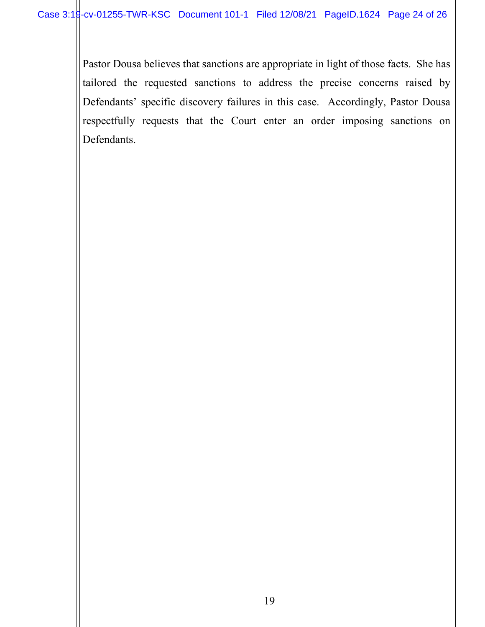Pastor Dousa believes that sanctions are appropriate in light of those facts. She has tailored the requested sanctions to address the precise concerns raised by Defendants' specific discovery failures in this case. Accordingly, Pastor Dousa respectfully requests that the Court enter an order imposing sanctions on Defendants.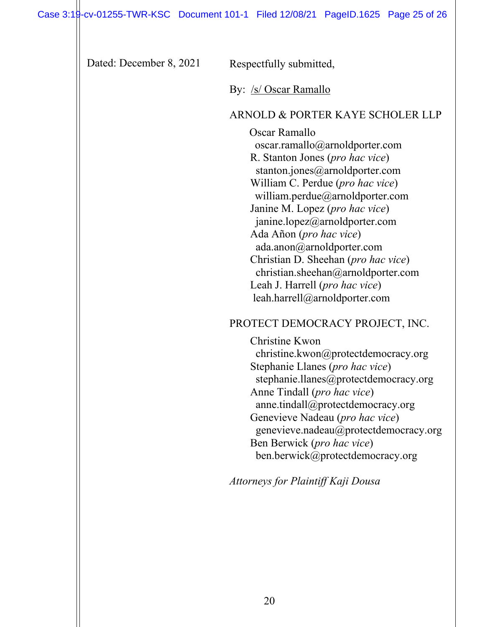| Dated: December 8, 2021 | Respectfully submitted,                                                                                                                                                                                                                                                                                                                                                                                                                                                                                             |
|-------------------------|---------------------------------------------------------------------------------------------------------------------------------------------------------------------------------------------------------------------------------------------------------------------------------------------------------------------------------------------------------------------------------------------------------------------------------------------------------------------------------------------------------------------|
|                         | By: /s/ Oscar Ramallo                                                                                                                                                                                                                                                                                                                                                                                                                                                                                               |
|                         | ARNOLD & PORTER KAYE SCHOLER LLP<br>Oscar Ramallo<br>oscar.ramallo@arnoldporter.com<br>R. Stanton Jones ( <i>pro hac vice</i> )<br>stanton.jones@arnoldporter.com<br>William C. Perdue (pro hac vice)<br>william.perdue@arnoldporter.com<br>Janine M. Lopez (pro hac vice)<br>janine.lopez@arnoldporter.com<br>Ada Añon (pro hac vice)<br>ada.anon@arnoldporter.com<br>Christian D. Sheehan (pro hac vice)<br>christian.sheehan@arnoldporter.com<br>Leah J. Harrell (pro hac vice)<br>leah.harrell@arnoldporter.com |
|                         | PROTECT DEMOCRACY PROJECT, INC.                                                                                                                                                                                                                                                                                                                                                                                                                                                                                     |
|                         | Christine Kwon<br>christine.kwon@protectdemocracy.org<br>Stephanie Llanes (pro hac vice)<br>stephanie.llanes@protectdemocracy.org<br>Anne Tindall (pro hac vice)<br>anne.tindall@protectdemocracy.org<br>Genevieve Nadeau (pro hac vice)<br>genevieve.nadeau@protectdemocracy.org<br>Ben Berwick (pro hac vice)<br>ben.berwick@protectdemocracy.org<br>Attorneys for Plaintiff Kaji Dousa                                                                                                                           |
|                         |                                                                                                                                                                                                                                                                                                                                                                                                                                                                                                                     |